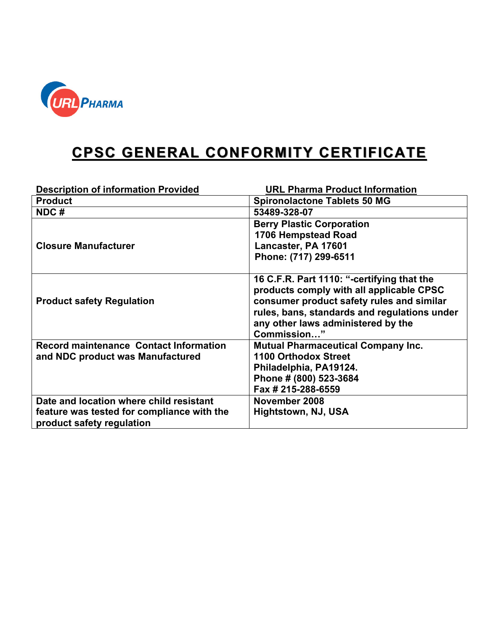

## **CPSC GENERAL CONFORMITY CERTIFICATE**

| <b>Description of information Provided</b>                                                                         | <b>URL Pharma Product Information</b>                                                                                                                                                                                                    |
|--------------------------------------------------------------------------------------------------------------------|------------------------------------------------------------------------------------------------------------------------------------------------------------------------------------------------------------------------------------------|
| <b>Product</b>                                                                                                     | <b>Spironolactone Tablets 50 MG</b>                                                                                                                                                                                                      |
| NDC#                                                                                                               | 53489-328-07                                                                                                                                                                                                                             |
| <b>Closure Manufacturer</b>                                                                                        | <b>Berry Plastic Corporation</b><br>1706 Hempstead Road<br>Lancaster, PA 17601<br>Phone: (717) 299-6511                                                                                                                                  |
| <b>Product safety Regulation</b>                                                                                   | 16 C.F.R. Part 1110: "-certifying that the<br>products comply with all applicable CPSC<br>consumer product safety rules and similar<br>rules, bans, standards and regulations under<br>any other laws administered by the<br>Commission" |
| <b>Record maintenance Contact Information</b><br>and NDC product was Manufactured                                  | <b>Mutual Pharmaceutical Company Inc.</b><br><b>1100 Orthodox Street</b><br>Philadelphia, PA19124.<br>Phone # (800) 523-3684<br>Fax # 215-288-6559                                                                                       |
| Date and location where child resistant<br>feature was tested for compliance with the<br>product safety regulation | November 2008<br>Hightstown, NJ, USA                                                                                                                                                                                                     |